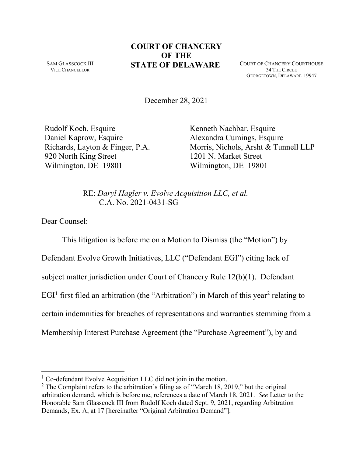SAM GLASSCOCK III VICE CHANCELLOR

## **COURT OF CHANCERY OF THE STATE OF DELAWARE** COURT OF CHANCERY COURTHOUSE

34 THE CIRCLE GEORGETOWN, DELAWARE 19947

December 28, 2021

Rudolf Koch, Esquire Daniel Kaprow, Esquire Richards, Layton & Finger, P.A. 920 North King Street Wilmington, DE 19801

Kenneth Nachbar, Esquire Alexandra Cumings, Esquire Morris, Nichols, Arsht & Tunnell LLP 1201 N. Market Street Wilmington, DE 19801

RE: *Daryl Hagler v. Evolve Acquisition LLC, et al.* C.A. No. 2021-0431-SG

Dear Counsel:

This litigation is before me on a Motion to Dismiss (the "Motion") by Defendant Evolve Growth Initiatives, LLC ("Defendant EGI") citing lack of subject matter jurisdiction under Court of Chancery Rule 12(b)(1). Defendant  $EGI<sup>1</sup>$  first filed an arbitration (the "Arbitration") in March of this year<sup>2</sup> relating to certain indemnities for breaches of representations and warranties stemming from a Membership Interest Purchase Agreement (the "Purchase Agreement"), by and

<sup>&</sup>lt;sup>1</sup> Co-defendant Evolve Acquisition LLC did not join in the motion.

 $2$  The Complaint refers to the arbitration's filing as of "March 18, 2019," but the original arbitration demand, which is before me, references a date of March 18, 2021. *See* Letter to the Honorable Sam Glasscock III from Rudolf Koch dated Sept. 9, 2021, regarding Arbitration Demands, Ex. A, at 17 [hereinafter "Original Arbitration Demand"].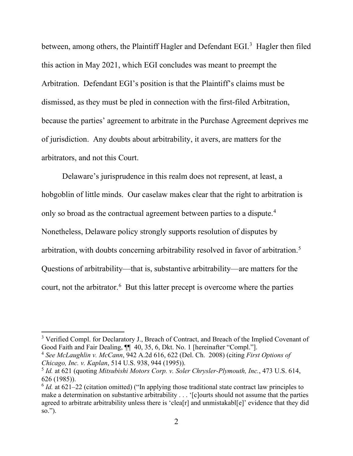between, among others, the Plaintiff Hagler and Defendant EGI.<sup>3</sup> Hagler then filed this action in May 2021, which EGI concludes was meant to preempt the Arbitration. Defendant EGI's position is that the Plaintiff's claims must be dismissed, as they must be pled in connection with the first-filed Arbitration, because the parties' agreement to arbitrate in the Purchase Agreement deprives me of jurisdiction. Any doubts about arbitrability, it avers, are matters for the arbitrators, and not this Court.

Delaware's jurisprudence in this realm does not represent, at least, a hobgoblin of little minds. Our caselaw makes clear that the right to arbitration is only so broad as the contractual agreement between parties to a dispute.<sup>4</sup> Nonetheless, Delaware policy strongly supports resolution of disputes by arbitration, with doubts concerning arbitrability resolved in favor of arbitration.<sup>5</sup> Questions of arbitrability—that is, substantive arbitrability—are matters for the court, not the arbitrator.<sup>6</sup> But this latter precept is overcome where the parties

<sup>&</sup>lt;sup>3</sup> Verified Compl. for Declaratory J., Breach of Contract, and Breach of the Implied Covenant of Good Faith and Fair Dealing,  $\P$  40, 35, 6, Dkt. No. 1 [hereinafter "Compl."].

<sup>4</sup> *See McLaughlin v. McCann*, 942 A.2d 616, 622 (Del. Ch. 2008) (citing *First Options of Chicago, Inc. v. Kaplan*, 514 U.S. 938, 944 (1995)).

<sup>5</sup> *Id.* at 621 (quoting *Mitsubishi Motors Corp. v. Soler Chrysler-Plymouth, Inc.*, 473 U.S. 614, 626 (1985)).

<sup>&</sup>lt;sup>6</sup> *Id.* at 621–22 (citation omitted) ("In applying those traditional state contract law principles to make a determination on substantive arbitrability . . . '[c]ourts should not assume that the parties agreed to arbitrate arbitrability unless there is 'clea[r] and unmistakabl[e]' evidence that they did so.").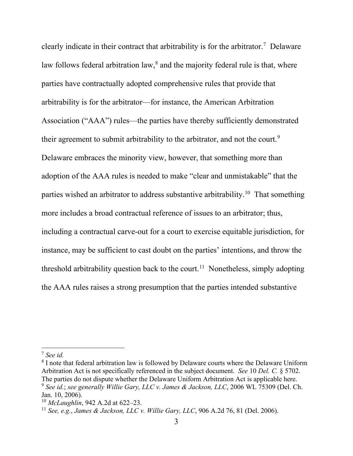clearly indicate in their contract that arbitrability is for the arbitrator.<sup>7</sup> Delaware law follows federal arbitration law,<sup>8</sup> and the majority federal rule is that, where parties have contractually adopted comprehensive rules that provide that arbitrability is for the arbitrator—for instance, the American Arbitration Association ("AAA") rules—the parties have thereby sufficiently demonstrated their agreement to submit arbitrability to the arbitrator, and not the court.<sup>9</sup> Delaware embraces the minority view, however, that something more than adoption of the AAA rules is needed to make "clear and unmistakable" that the parties wished an arbitrator to address substantive arbitrability.<sup>10</sup> That something more includes a broad contractual reference of issues to an arbitrator; thus, including a contractual carve-out for a court to exercise equitable jurisdiction, for instance, may be sufficient to cast doubt on the parties' intentions, and throw the threshold arbitrability question back to the court.<sup>11</sup> Nonetheless, simply adopting the AAA rules raises a strong presumption that the parties intended substantive

<sup>7</sup> *See id.* 

<sup>&</sup>lt;sup>8</sup> I note that federal arbitration law is followed by Delaware courts where the Delaware Uniform Arbitration Act is not specifically referenced in the subject document. *See* 10 *Del. C.* § 5702. The parties do not dispute whether the Delaware Uniform Arbitration Act is applicable here. <sup>9</sup> *See id.*; *see generally Willie Gary, LLC v. James & Jackson, LLC*, 2006 WL 75309 (Del. Ch. Jan. 10, 2006).

<sup>10</sup> *McLaughlin*, 942 A.2d at 622–23.

<sup>11</sup> *See, e.g.*, *James & Jackson, LLC v. Willie Gary, LLC*, 906 A.2d 76, 81 (Del. 2006).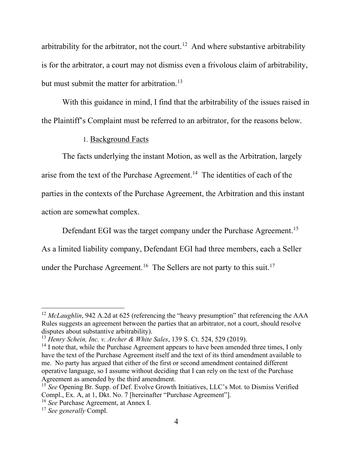arbitrability for the arbitrator, not the court.<sup>12</sup> And where substantive arbitrability is for the arbitrator, a court may not dismiss even a frivolous claim of arbitrability, but must submit the matter for arbitration.<sup>13</sup>

With this guidance in mind, I find that the arbitrability of the issues raised in the Plaintiff's Complaint must be referred to an arbitrator, for the reasons below.

## 1. Background Facts

The facts underlying the instant Motion, as well as the Arbitration, largely arise from the text of the Purchase Agreement.<sup>14</sup> The identities of each of the parties in the contexts of the Purchase Agreement, the Arbitration and this instant action are somewhat complex.

Defendant EGI was the target company under the Purchase Agreement.<sup>15</sup> As a limited liability company, Defendant EGI had three members, each a Seller under the Purchase Agreement.<sup>16</sup> The Sellers are not party to this suit.<sup>17</sup>

<sup>&</sup>lt;sup>12</sup> *McLaughlin*, 942 A.2d at 625 (referencing the "heavy presumption" that referencing the AAA Rules suggests an agreement between the parties that an arbitrator, not a court, should resolve disputes about substantive arbitrability).

<sup>13</sup> *Henry Schein, Inc. v. Archer & White Sales*, 139 S. Ct. 524, 529 (2019).

 $14$  I note that, while the Purchase Agreement appears to have been amended three times, I only have the text of the Purchase Agreement itself and the text of its third amendment available to me. No party has argued that either of the first or second amendment contained different operative language, so I assume without deciding that I can rely on the text of the Purchase Agreement as amended by the third amendment.

<sup>&</sup>lt;sup>15</sup> *See* Opening Br. Supp. of Def. Evolve Growth Initiatives, LLC's Mot. to Dismiss Verified Compl., Ex. A, at 1, Dkt. No. 7 [hereinafter "Purchase Agreement"].

<sup>16</sup> *See* Purchase Agreement, at Annex I.

<sup>17</sup> *See generally* Compl.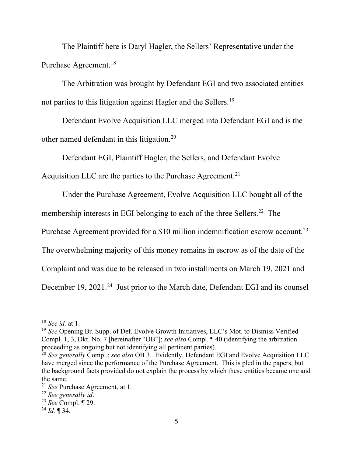The Plaintiff here is Daryl Hagler, the Sellers' Representative under the Purchase Agreement.18

The Arbitration was brought by Defendant EGI and two associated entities not parties to this litigation against Hagler and the Sellers.<sup>19</sup>

Defendant Evolve Acquisition LLC merged into Defendant EGI and is the other named defendant in this litigation.20

Defendant EGI, Plaintiff Hagler, the Sellers, and Defendant Evolve

Acquisition LLC are the parties to the Purchase Agreement.<sup>21</sup>

Under the Purchase Agreement, Evolve Acquisition LLC bought all of the

membership interests in EGI belonging to each of the three Sellers.<sup>22</sup> The

Purchase Agreement provided for a \$10 million indemnification escrow account.<sup>23</sup>

The overwhelming majority of this money remains in escrow as of the date of the

Complaint and was due to be released in two installments on March 19, 2021 and

December 19, 2021.<sup>24</sup> Just prior to the March date, Defendant EGI and its counsel

<sup>18</sup> *See id.* at 1.

<sup>19</sup> *See* Opening Br. Supp. of Def. Evolve Growth Initiatives, LLC's Mot. to Dismiss Verified Compl. 1, 3, Dkt. No. 7 [hereinafter "OB"]; *see also* Compl. ¶ 40 (identifying the arbitration proceeding as ongoing but not identifying all pertinent parties).

<sup>20</sup> *See generally* Compl.; *see also* OB 3. Evidently, Defendant EGI and Evolve Acquisition LLC have merged since the performance of the Purchase Agreement. This is pled in the papers, but the background facts provided do not explain the process by which these entities became one and the same.

<sup>21</sup> *See* Purchase Agreement, at 1.

<sup>22</sup> *See generally id*. 23 *See* Compl. ¶ 29.

<sup>24</sup> *Id.* ¶ 34.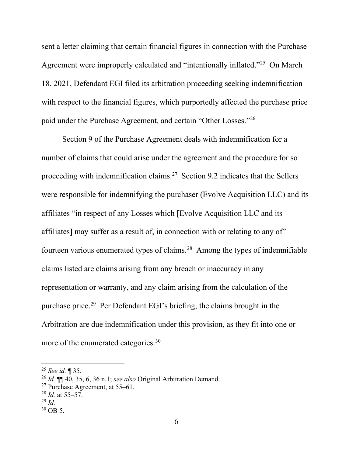sent a letter claiming that certain financial figures in connection with the Purchase Agreement were improperly calculated and "intentionally inflated."25 On March 18, 2021, Defendant EGI filed its arbitration proceeding seeking indemnification with respect to the financial figures, which purportedly affected the purchase price paid under the Purchase Agreement, and certain "Other Losses."26

Section 9 of the Purchase Agreement deals with indemnification for a number of claims that could arise under the agreement and the procedure for so proceeding with indemnification claims.<sup>27</sup> Section 9.2 indicates that the Sellers were responsible for indemnifying the purchaser (Evolve Acquisition LLC) and its affiliates "in respect of any Losses which [Evolve Acquisition LLC and its affiliates] may suffer as a result of, in connection with or relating to any of" fourteen various enumerated types of claims.28 Among the types of indemnifiable claims listed are claims arising from any breach or inaccuracy in any representation or warranty, and any claim arising from the calculation of the purchase price.29 Per Defendant EGI's briefing, the claims brought in the Arbitration are due indemnification under this provision, as they fit into one or more of the enumerated categories.<sup>30</sup>

<sup>25</sup> *See id.* ¶ 35.

<sup>26</sup> *Id.* ¶¶ 40, 35, 6, 36 n.1; *see also* Original Arbitration Demand.

<sup>&</sup>lt;sup>27</sup> Purchase Agreement, at 55–61.

<sup>28</sup> *Id.* at 55–57.

<sup>29</sup> *Id.* 

 $30$  OB 5.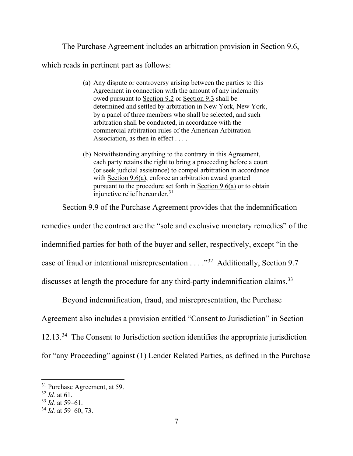The Purchase Agreement includes an arbitration provision in Section 9.6,

which reads in pertinent part as follows:

- (a) Any dispute or controversy arising between the parties to this Agreement in connection with the amount of any indemnity owed pursuant to Section 9.2 or Section 9.3 shall be determined and settled by arbitration in New York, New York, by a panel of three members who shall be selected, and such arbitration shall be conducted, in accordance with the commercial arbitration rules of the American Arbitration Association, as then in effect . . . .
- (b) Notwithstanding anything to the contrary in this Agreement, each party retains the right to bring a proceeding before a court (or seek judicial assistance) to compel arbitration in accordance with Section 9.6(a), enforce an arbitration award granted pursuant to the procedure set forth in  $Section 9.6(a)$  or to obtain injunctive relief hereunder.<sup>31</sup>

Section 9.9 of the Purchase Agreement provides that the indemnification

remedies under the contract are the "sole and exclusive monetary remedies" of the indemnified parties for both of the buyer and seller, respectively, except "in the case of fraud or intentional misrepresentation . . . ."32 Additionally, Section 9.7 discusses at length the procedure for any third-party indemnification claims.<sup>33</sup>

Beyond indemnification, fraud, and misrepresentation, the Purchase

Agreement also includes a provision entitled "Consent to Jurisdiction" in Section

12.13.34 The Consent to Jurisdiction section identifies the appropriate jurisdiction

for "any Proceeding" against (1) Lender Related Parties, as defined in the Purchase

<sup>&</sup>lt;sup>31</sup> Purchase Agreement, at 59.

<sup>32</sup> *Id.* at 61.

<sup>33</sup> *Id.* at 59–61.

<sup>34</sup> *Id.* at 59–60, 73.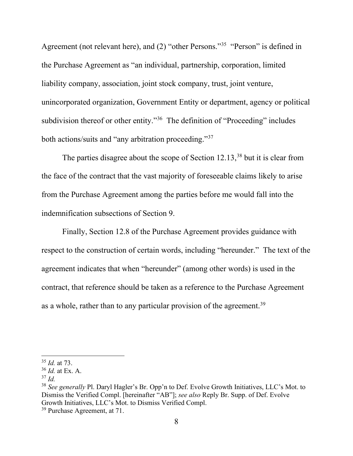Agreement (not relevant here), and (2) "other Persons."35 "Person" is defined in the Purchase Agreement as "an individual, partnership, corporation, limited liability company, association, joint stock company, trust, joint venture, unincorporated organization, Government Entity or department, agency or political subdivision thereof or other entity."<sup>36</sup> The definition of "Proceeding" includes both actions/suits and "any arbitration proceeding."37

The parties disagree about the scope of Section  $12.13$ ,<sup>38</sup> but it is clear from the face of the contract that the vast majority of foreseeable claims likely to arise from the Purchase Agreement among the parties before me would fall into the indemnification subsections of Section 9.

Finally, Section 12.8 of the Purchase Agreement provides guidance with respect to the construction of certain words, including "hereunder." The text of the agreement indicates that when "hereunder" (among other words) is used in the contract, that reference should be taken as a reference to the Purchase Agreement as a whole, rather than to any particular provision of the agreement.<sup>39</sup>

<sup>35</sup> *Id.* at 73.

<sup>36</sup> *Id.* at Ex. A.

 $37$  *Id.* 

<sup>38</sup> *See generally* Pl. Daryl Hagler's Br. Opp'n to Def. Evolve Growth Initiatives, LLC's Mot. to Dismiss the Verified Compl. [hereinafter "AB"]; *see also* Reply Br. Supp. of Def. Evolve Growth Initiatives, LLC's Mot. to Dismiss Verified Compl.

<sup>39</sup> Purchase Agreement, at 71.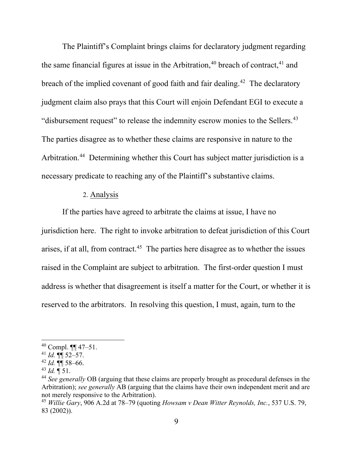The Plaintiff's Complaint brings claims for declaratory judgment regarding the same financial figures at issue in the Arbitration,  $40$  breach of contract,  $41$  and breach of the implied covenant of good faith and fair dealing.<sup>42</sup> The declaratory judgment claim also prays that this Court will enjoin Defendant EGI to execute a "disbursement request" to release the indemnity escrow monies to the Sellers.<sup>43</sup> The parties disagree as to whether these claims are responsive in nature to the Arbitration.<sup>44</sup> Determining whether this Court has subject matter jurisdiction is a necessary predicate to reaching any of the Plaintiff's substantive claims.

## 2. Analysis

If the parties have agreed to arbitrate the claims at issue, I have no jurisdiction here. The right to invoke arbitration to defeat jurisdiction of this Court arises, if at all, from contract.<sup>45</sup> The parties here disagree as to whether the issues raised in the Complaint are subject to arbitration. The first-order question I must address is whether that disagreement is itself a matter for the Court, or whether it is reserved to the arbitrators. In resolving this question, I must, again, turn to the

<sup>40</sup> Compl. ¶¶ 47–51.

 $^{41}$  *Id.*  $\P$  $\overline{}}$  52–57.

 $^{42}$  *Id.*  $\P\P$  58–66.

 $^{43}$  *Id.*  $\overline{9}$  51.

<sup>44</sup> *See generally* OB (arguing that these claims are properly brought as procedural defenses in the Arbitration); *see generally* AB (arguing that the claims have their own independent merit and are not merely responsive to the Arbitration).

<sup>45</sup> *Willie Gary*, 906 A.2d at 78–79 (quoting *Howsam v Dean Witter Reynolds, Inc.*, 537 U.S. 79, 83 (2002)).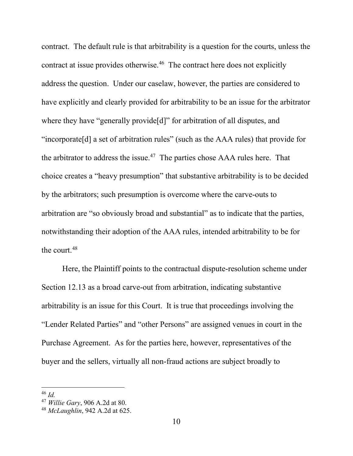contract. The default rule is that arbitrability is a question for the courts, unless the contract at issue provides otherwise. 46 The contract here does not explicitly address the question. Under our caselaw, however, the parties are considered to have explicitly and clearly provided for arbitrability to be an issue for the arbitrator where they have "generally provide [d]" for arbitration of all disputes, and "incorporate[d] a set of arbitration rules" (such as the AAA rules) that provide for the arbitrator to address the issue.<sup>47</sup> The parties chose AAA rules here. That choice creates a "heavy presumption" that substantive arbitrability is to be decided by the arbitrators; such presumption is overcome where the carve-outs to arbitration are "so obviously broad and substantial" as to indicate that the parties, notwithstanding their adoption of the AAA rules, intended arbitrability to be for the court.48

Here, the Plaintiff points to the contractual dispute-resolution scheme under Section 12.13 as a broad carve-out from arbitration, indicating substantive arbitrability is an issue for this Court. It is true that proceedings involving the "Lender Related Parties" and "other Persons" are assigned venues in court in the Purchase Agreement. As for the parties here, however, representatives of the buyer and the sellers, virtually all non-fraud actions are subject broadly to

<sup>46</sup> *Id.* 

<sup>47</sup> *Willie Gary*, 906 A.2d at 80.

<sup>48</sup> *McLaughlin*, 942 A.2d at 625.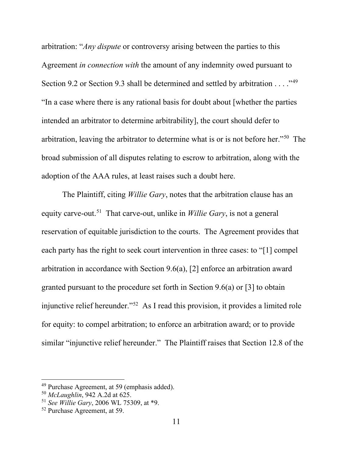arbitration: "*Any dispute* or controversy arising between the parties to this Agreement *in connection with* the amount of any indemnity owed pursuant to Section 9.2 or Section 9.3 shall be determined and settled by arbitration  $\dots$ ."<sup>49</sup> "In a case where there is any rational basis for doubt about [whether the parties intended an arbitrator to determine arbitrability], the court should defer to arbitration, leaving the arbitrator to determine what is or is not before her."50 The broad submission of all disputes relating to escrow to arbitration, along with the adoption of the AAA rules, at least raises such a doubt here.

The Plaintiff, citing *Willie Gary*, notes that the arbitration clause has an equity carve-out.51 That carve-out, unlike in *Willie Gary*, is not a general reservation of equitable jurisdiction to the courts. The Agreement provides that each party has the right to seek court intervention in three cases: to "[1] compel arbitration in accordance with Section 9.6(a), [2] enforce an arbitration award granted pursuant to the procedure set forth in Section 9.6(a) or [3] to obtain injunctive relief hereunder."52 As I read this provision, it provides a limited role for equity: to compel arbitration; to enforce an arbitration award; or to provide similar "injunctive relief hereunder." The Plaintiff raises that Section 12.8 of the

<sup>49</sup> Purchase Agreement, at 59 (emphasis added).

<sup>50</sup> *McLaughlin*, 942 A.2d at 625.

<sup>51</sup> *See Willie Gary*, 2006 WL 75309, at \*9.

<sup>52</sup> Purchase Agreement, at 59.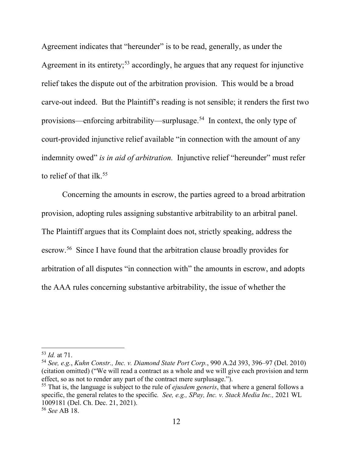Agreement indicates that "hereunder" is to be read, generally, as under the Agreement in its entirety;<sup>53</sup> accordingly, he argues that any request for injunctive relief takes the dispute out of the arbitration provision. This would be a broad carve-out indeed. But the Plaintiff's reading is not sensible; it renders the first two provisions—enforcing arbitrability—surplusage.54 In context, the only type of court-provided injunctive relief available "in connection with the amount of any indemnity owed" *is in aid of arbitration*. Injunctive relief "hereunder" must refer to relief of that ilk.<sup>55</sup>

Concerning the amounts in escrow, the parties agreed to a broad arbitration provision, adopting rules assigning substantive arbitrability to an arbitral panel. The Plaintiff argues that its Complaint does not, strictly speaking, address the escrow.56 Since I have found that the arbitration clause broadly provides for arbitration of all disputes "in connection with" the amounts in escrow, and adopts the AAA rules concerning substantive arbitrability, the issue of whether the

<sup>53</sup> *Id.* at 71.

<sup>54</sup> *See, e.g.*, *Kuhn Constr., Inc. v. Diamond State Port Corp.*, 990 A.2d 393, 396–97 (Del. 2010) (citation omitted) ("We will read a contract as a whole and we will give each provision and term effect, so as not to render any part of the contract mere surplusage.").

<sup>55</sup> That is, the language is subject to the rule of *ejusdem generis*, that where a general follows a specific, the general relates to the specific*. See, e.g., SPay, Inc. v. Stack Media Inc.,* 2021 WL 1009181 (Del. Ch. Dec. 21, 2021).

<sup>56</sup> *See* AB 18.